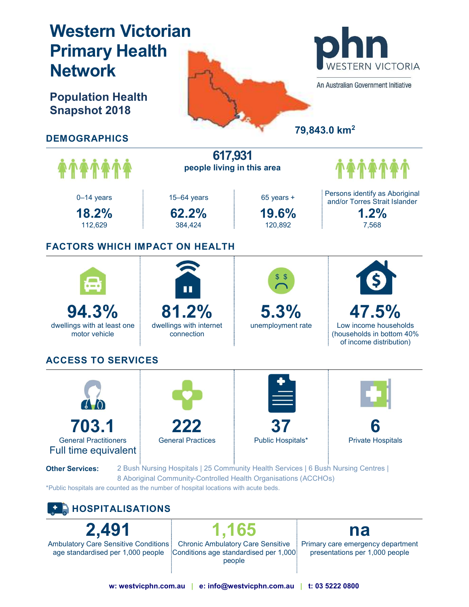